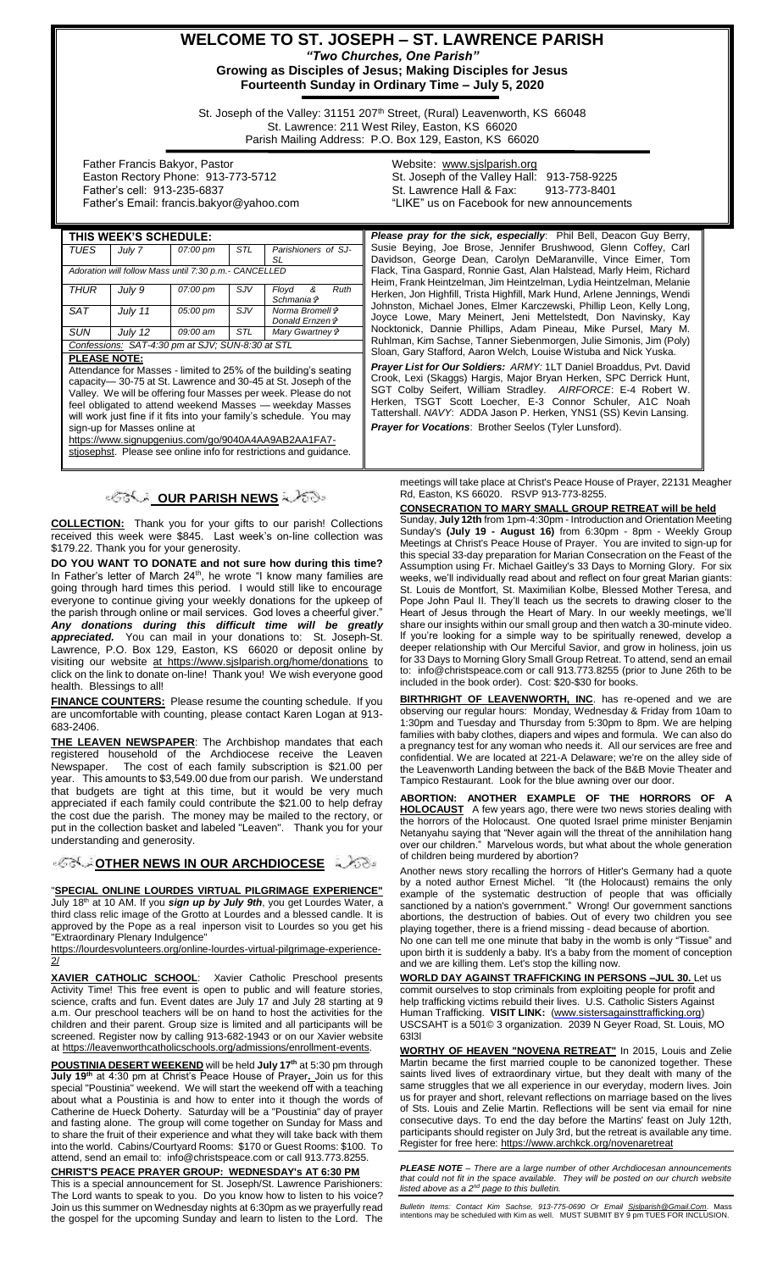# **WELCOME TO ST. JOSEPH – ST. LAWRENCE PARISH** *"Two Churches, One Parish"*

**Growing as Disciples of Jesus; Making Disciples for Jesus Fourteenth Sunday in Ordinary Time – July 5, 2020**

St. Joseph of the Valley: 31151 207<sup>th</sup> Street, (Rural) Leavenworth, KS 66048 St. Lawrence: 211 West Riley, Easton, KS 66020 Parish Mailing Address: P.O. Box 129, Easton, KS 66020

 Father Francis Bakyor, Pastor Easton Rectory Phone: 913-773-5712 Father's cell: 913-235-6837 Father's Email: francis.bakyor@yahoo.com Website: [www.sjslparish.org](http://www.sjslparish.org/) St. Joseph of the Valley Hall: 913-758-9225 St. Lawrence Hall & Fax: "LIKE" us on Facebook for new announcements

| THIS WEEK'S SCHEDULE:                                 |         |          |            |                                                 |
|-------------------------------------------------------|---------|----------|------------|-------------------------------------------------|
| <b>TUES</b>                                           | July 7  | 07:00 pm | STL        | Parishioners of SJ-<br>SL                       |
| Adoration will follow Mass until 7:30 p.m.- CANCELLED |         |          |            |                                                 |
| <b>THUR</b>                                           | July 9  | 07:00 pm | SJV        | Floyd &<br>Ruth<br>Schmania +                   |
| <b>SAT</b>                                            | July 11 | 05:00 pm | SJV        | Norma Bromell ⊕<br>Donald Ernzen i <sup>≽</sup> |
| <b>SUN</b>                                            | July 12 | 09:00 am | <b>STL</b> | Mary Gwartney &                                 |
| Confessions: SAT-4:30 pm at SJV; SUN-8:30 at STL      |         |          |            |                                                 |
| BLEACE MATE.                                          |         |          |            |                                                 |

**PLEASE NOTE:**

Attendance for Masses - limited to 25% of the building's seating capacity— 30-75 at St. Lawrence and 30-45 at St. Joseph of the Valley. We will be offering four Masses per week. Please do not feel obligated to attend weekend Masses — weekday Masses will work just fine if it fits into your family's schedule. sign-up for Masses online at

[https://www.signupgenius.com/go/9040A4AA9AB2AA1FA7-](https://www.signupgenius.com/go/9040A4AA9AB2AA1FA7-stjosephst)

[stjosephst.](https://www.signupgenius.com/go/9040A4AA9AB2AA1FA7-stjosephst) Please see online info for restrictions and guidance.

## *IS* **কৰিল DUR PARISH NEWS** ব্যৱহাতী

**COLLECTION:** Thank you for your gifts to our parish! Collections received this week were \$845. Last week's on-line collection was \$179.22. Thank you for your generosity.

**DO YOU WANT TO DONATE and not sure how during this time?** In Father's letter of March 24<sup>th</sup>, he wrote "I know many families are going through hard times this period. I would still like to encourage everyone to continue giving your weekly donations for the upkeep of the parish through online or mail services. God loves a cheerful giver. *Any donations during this difficult time will be greatly appreciated.* You can mail in your donations to: St. Joseph-St. Lawrence, P.O. Box 129, Easton, KS 66020 or deposit online by visiting our website at https://www.sjslparish.org/home/donations to click on the link to donate on-line! Thank you! We wish everyone good health.Blessings to all!

**FINANCE COUNTERS:** Please resume the counting schedule. If you are uncomfortable with counting, please contact Karen Logan at 913- 683-2406.

**THE LEAVEN NEWSPAPER**: The Archbishop mandates that each registered household of the Archdiocese receive the Leaven Newspaper. The cost of each family subscription is \$21.00 per year. This amounts to \$3,549.00 due from our parish. We understand that budgets are tight at this time, but it would be very much appreciated if each family could contribute the \$21.00 to help defray the cost due the parish. The money may be mailed to the rectory, or put in the collection basket and labeled "Leaven". Thank you for your understanding and generosity.

**[O](http://www.google.com/url?sa=i&rct=j&q=&esrc=s&source=images&cd=&cad=rja&uact=8&ved=0CAcQjRxqFQoTCL3M6dfYlskCFQfIYwodK-sMqA&url=http://www.clipartpanda.com/categories/corner-scroll-design&psig=AFQjCNEcNGu-GRs-N_tcfj31hDOCKS7EqQ&ust=1447823402338642)PPORT ARCHOOCESE** 

"**SPECIAL ONLINE LOURDES VIRTUAL PILGRIMAGE EXPERIENCE"** July 18th at 10 AM. If you *sign up by July 9th*, you get Lourdes Water, a third class relic image of the Grotto at Lourdes and a blessed candle. It is approved by the Pope as a real inperson visit to Lourdes so you get his "Extraordinary Plenary Indulgence"

[https://lourdesvolunteers.org/online-lourdes-virtual-pilgrimage-experience-](https://lourdesvolunteers.org/online-lourdes-virtual-pilgrimage-experience-2/)[2/](https://lourdesvolunteers.org/online-lourdes-virtual-pilgrimage-experience-2/)

**XAVIER CATHOLIC SCHOOL**: Xavier Catholic Preschool presents Activity Time! This free event is open to public and will feature stories, science, crafts and fun. Event dates are July 17 and July 28 starting at 9 a.m. Our preschool teachers will be on hand to host the activities for the children and their parent. Group size is limited and all participants will be screened. Register now by calling 913-682-1943 or on our Xavier website a[t https://leavenworthcatholicschools.org/admissions/enrollment-events.](https://leavenworthcatholicschools.org/admissions/enrollment-events)

**POUSTINIA DESERT WEEKEND** will be held **July 17th** at 5:30 pm through **July 19th** at 4:30 pm at Christ's Peace House of Prayer**.** Join us for this special "Poustinia" weekend. We will start the weekend off with a teaching about what a Poustinia is and how to enter into it though the words of Catherine de Hueck Doherty. Saturday will be a "Poustinia" day of prayer and fasting alone. The group will come together on Sunday for Mass and to share the fruit of their experience and what they will take back with them into the world. Cabins/Courtyard Rooms: \$170 or Guest Rooms: \$100. To attend, send an email to: info@christspeace.com or call 913.773.8255.

#### **CHRIST'S PEACE PRAYER GROUP: WEDNESDAY's AT 6:30 PM**

This is a special announcement for St. Joseph/St. Lawrence Parishioners: The Lord wants to speak to you. Do you know how to listen to his voice? Join us this summer on Wednesday nights at 6:30pm as we prayerfully read the gospel for the upcoming Sunday and learn to listen to the Lord. The

Please pray for the sick, especially: Phil Bell, Deacon Guy Berry, Susie Beying, Joe Brose, Jennifer Brushwood, Glenn Coffey, Carl Davidson, George Dean, Carolyn DeMaranville, Vince Eimer, Tom Flack, Tina Gaspard, Ronnie Gast, Alan Halstead, Marly Heim, Richard Heim, Frank Heintzelman, Jim Heintzelman, Lydia Heintzelman, Melanie Herken, Jon Highfill, Trista Highfill, Mark Hund, Arlene Jennings, Wendi Johnston, Michael Jones, Elmer Karczewski, Phillip Leon, Kelly Long, Joyce Lowe, Mary Meinert, Jeni Mettelstedt, Don Navinsky, Kay Nocktonick, Dannie Phillips, Adam Pineau, Mike Pursel, Mary M. Ruhlman, Kim Sachse, Tanner Siebenmorgen, Julie Simonis, Jim (Poly) Sloan, Gary Stafford, Aaron Welch, Louise Wistuba and Nick Yuska. *Prayer List for Our Soldiers: ARMY:* 1LT Daniel Broaddus, Pvt. David

Crook, Lexi (Skaggs) Hargis, Major Bryan Herken, SPC Derrick Hunt, SGT Colby Seifert, William Stradley. *AIRFORCE*: E-4 Robert W. Herken, TSGT Scott Loecher, E-3 Connor Schuler, A1C Noah Tattershall. *NAVY*: ADDA Jason P. Herken, YNS1 (SS) Kevin Lansing. *Prayer for Vocations*: Brother Seelos (Tyler Lunsford).

meetings will take place at Christ's Peace House of Prayer, 22131 Meagher Rd, Easton, KS 66020. RSVP 913-773-8255.

**CONSECRATION TO MARY SMALL GROUP RETREAT will be held** 

Sunday, **July 12th** from 1pm-4:30pm - Introduction and Orientation Meeting Sunday's **(July 19 - August 16)** from 6:30pm - 8pm - Weekly Group Meetings at Christ's Peace House of Prayer. You are invited to sign-up for this special 33-day preparation for Marian Consecration on the Feast of the Assumption using Fr. Michael Gaitley's 33 Days to Morning Glory. For six weeks, we'll individually read about and reflect on four great Marian giants: St. Louis de Montfort, St. Maximilian Kolbe, Blessed Mother Teresa, and Pope John Paul II. They'll teach us the secrets to drawing closer to the Heart of Jesus through the Heart of Mary. In our weekly meetings, we'll share our insights within our small group and then watch a 30-minute video. If you're looking for a simple way to be spiritually renewed, develop a deeper relationship with Our Merciful Savior, and grow in holiness, join us for 33 Days to Morning Glory Small Group Retreat. To attend, send an email to: info@christspeace.com or call 913.773.8255 (prior to June 26th to be included in the book order). Cost: \$20-\$30 for books.

**BIRTHRIGHT OF LEAVENWORTH, INC.** has re-opened and we are observing our regular hours: Monday, Wednesday & Friday from 10am to 1:30pm and Tuesday and Thursday from 5:30pm to 8pm. We are helping families with baby clothes, diapers and wipes and formula. We can also do a pregnancy test for any woman who needs it. All our services are free and confidential. We are located at 221-A Delaware; we're on the alley side of the Leavenworth Landing between the back of the B&B Movie Theater and Tampico Restaurant. Look for the blue awning over our door.

**ABORTION: ANOTHER EXAMPLE OF THE HORRORS OF A HOLOCAUST** A few years ago, there were two news stories dealing with the horrors of the Holocaust. One quoted Israel prime minister Benjamin Netanyahu saying that "Never again will the threat of the annihilation hang over our children." Marvelous words, but what about the whole generation of children being murdered by abortion?

Another news story recalling the horrors of Hitler's Germany had a quote by a noted author Ernest Michel. "It (the Holocaust) remains the only example of the systematic destruction of people that was officially sanctioned by a nation's government." Wrong! Our government sanctions abortions, the destruction of babies. Out of every two children you see playing together, there is a friend missing - dead because of abortion.

No one can tell me one minute that baby in the womb is only "Tissue" and upon birth it is suddenly a baby. It's a baby from the moment of conception and we are killing them. Let's stop the killing now.

**WORLD DAY AGAINST TRAFFICKING IN PERSONS –JUL 30.** Let us commit ourselves to stop criminals from exploiting people for profit and help trafficking victims rebuild their lives. U.S. Catholic Sisters Against Human Trafficking. **VISIT LINK:** [\(www.sistersagainsttrafficking.org\)](http://www.sistersagainsttrafficking.org/)  USCSAHT is a 501© 3 organization. 2039 N Geyer Road, St. Louis, MO 63l3l

**WORTHY OF HEAVEN "NOVENA RETREAT"** In 2015, Louis and Zelie Martin became the first married couple to be canonized together. These saints lived lives of extraordinary virtue, but they dealt with many of the same struggles that we all experience in our everyday, modern lives. Join us for prayer and short, relevant reflections on marriage based on the lives of Sts. Louis and Zelie Martin. Reflections will be sent via email for nine consecutive days. To end the day before the Martins' feast on July 12th, participants should register on July 3rd, but the retreat is available any time. Register for free here: https://www.archkck.org/novenaretreat

*PLEASE NOTE – There are a large number of other Archdiocesan announcements that could not fit in the space available. They will be posted on our church website listed above as a 2nd page to this bulletin.*

*Bulletin Items: Contact Kim Sachse, 913-775-0690 Or Email <u>Sislparish@Gmail.Com</u>. Mass<br>intentions may be scheduled with Kim as well. MUST SUBMIT BY 9 pm TUES FOR INCLUSION.*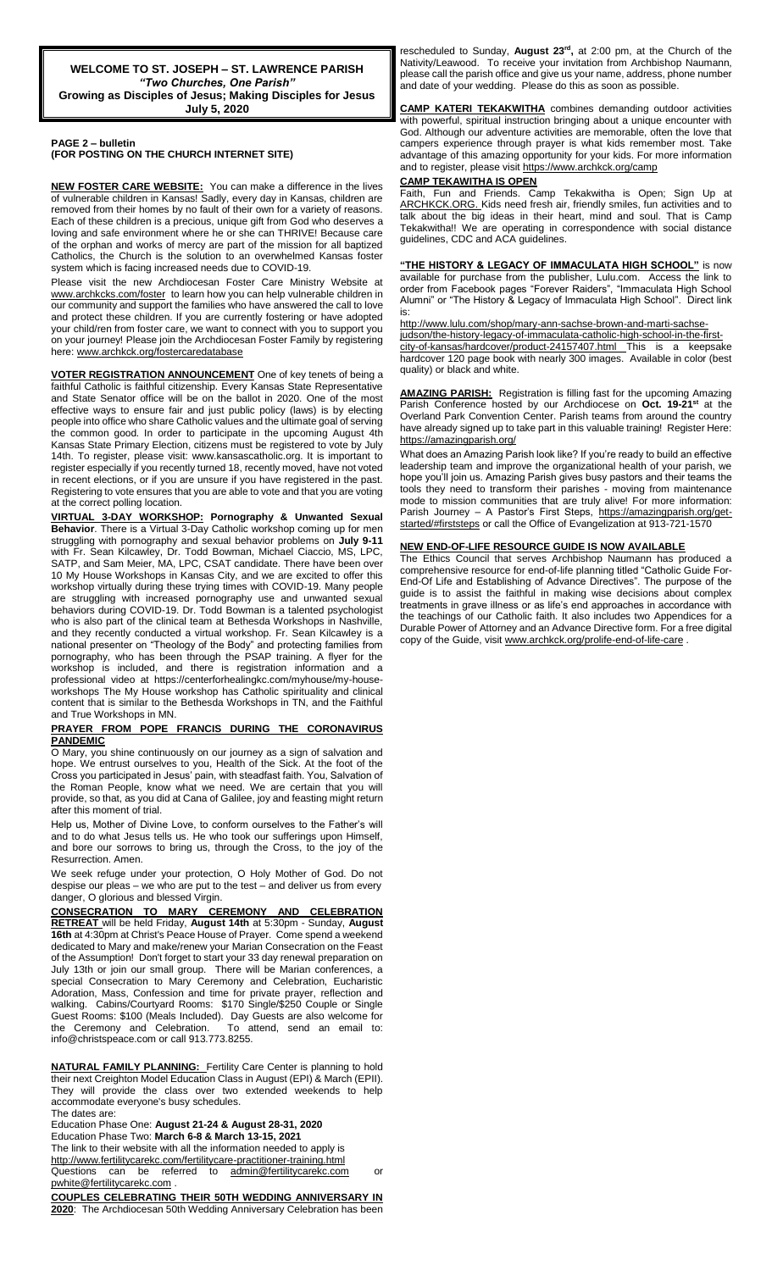#### **PAGE 2 – bulletin**

**(FOR POSTING ON THE CHURCH INTERNET SITE)**

**NEW FOSTER CARE WEBSITE:** You can make a difference in the lives of vulnerable children in Kansas! Sadly, every day in Kansas, children are removed from their homes by no fault of their own for a variety of reasons. Each of these children is a precious, unique gift from God who deserves a loving and safe environment where he or she can THRIVE! Because care of the orphan and works of mercy are part of the mission for all baptized Catholics, the Church is the solution to an overwhelmed Kansas foster system which is facing increased needs due to COVID-19.

Please visit the new Archdiocesan Foster Care Ministry Website at [www.archkcks.com/foster](http://www.archkcks.com/foster) to learn how you can help vulnerable children in our community and support the families who have answered the call to love and protect these children. If you are currently fostering or have adopted your child/ren from foster care, we want to connect with you to support you on your journey! Please join the Archdiocesan Foster Family by registering here: [www.archkck.org/fostercaredatabase](http://www.archkck.org/fostercaredatabase)

**VOTER REGISTRATION ANNOUNCEMENT** One of key tenets of being a faithful Catholic is faithful citizenship. Every Kansas State Representative and State Senator office will be on the ballot in 2020. One of the most effective ways to ensure fair and just public policy (laws) is by electing people into office who share Catholic values and the ultimate goal of serving the common good. In order to participate in the upcoming August 4th Kansas State Primary Election, citizens must be registered to vote by July 14th. To register, please visit: www.kansascatholic.org. It is important to register especially if you recently turned 18, recently moved, have not voted in recent elections, or if you are unsure if you have registered in the past. Registering to vote ensures that you are able to vote and that you are voting at the correct polling location.

**VIRTUAL 3-DAY WORKSHOP: Pornography & Unwanted Sexual Behavior**. There is a Virtual 3-Day Catholic workshop coming up for men struggling with pornography and sexual behavior problems on **July 9-11** with Fr. Sean Kilcawley, Dr. Todd Bowman, Michael Ciaccio, MS, LPC, SATP, and Sam Meier, MA, LPC, CSAT candidate. There have been over 10 My House Workshops in Kansas City, and we are excited to offer this workshop virtually during these trying times with COVID-19. Many people are struggling with increased pornography use and unwanted sexual behaviors during COVID-19. Dr. Todd Bowman is a talented psychologist who is also part of the clinical team at Bethesda Workshops in Nashville, and they recently conducted a virtual workshop. Fr. Sean Kilcawley is a national presenter on "Theology of the Body" and protecting families from pornography, who has been through the PSAP training. A flyer for the workshop is included, and there is registration information and a professional video at https://centerforhealingkc.com/myhouse/my-houseworkshops The My House workshop has Catholic spirituality and clinical content that is similar to the Bethesda Workshops in TN, and the Faithful and True Workshops in MN.

#### **PRAYER FROM POPE FRANCIS DURING THE CORONAVIRUS PANDEMIC**

O Mary, you shine continuously on our journey as a sign of salvation and hope. We entrust ourselves to you, Health of the Sick. At the foot of the Cross you participated in Jesus' pain, with steadfast faith. You, Salvation of the Roman People, know what we need. We are certain that you will provide, so that, as you did at Cana of Galilee, joy and feasting might return after this moment of trial.

Help us, Mother of Divine Love, to conform ourselves to the Father's will and to do what Jesus tells us. He who took our sufferings upon Himself, and bore our sorrows to bring us, through the Cross, to the joy of the Resurrection. Amen.

We seek refuge under your protection, O Holy Mother of God. Do not despise our pleas – we who are put to the test – and deliver us from every danger, O glorious and blessed Virgin.

**CONSECRATION TO MARY CEREMONY AND CELEBRATION RETREAT** will be held Friday, **August 14th** at 5:30pm - Sunday, **August 16th** at 4:30pm at Christ's Peace House of Prayer. Come spend a weekend dedicated to Mary and make/renew your Marian Consecration on the Feast of the Assumption! Don't forget to start your 33 day renewal preparation on July 13th or join our small group. There will be Marian conferences, a special Consecration to Mary Ceremony and Celebration, Eucharistic Adoration, Mass, Confession and time for private prayer, reflection and walking. Cabins/Courtyard Rooms: \$170 Single/\$250 Couple or Single Guest Rooms: \$100 (Meals Included). Day Guests are also welcome for the Ceremony and Celebration. To attend, send an email to: info@christspeace.com or call 913.773.8255.

**NATURAL FAMILY PLANNING:** Fertility Care Center is planning to hold their next Creighton Model Education Class in August (EPI) & March (EPII). They will provide the class over two extended weekends to help accommodate everyone's busy schedules. The dates are:

Education Phase One: **August 21-24 & August 28-31, 2020**

Education Phase Two: **March 6-8 & March 13-15, 2021**

The link to their website with all the information needed to apply is http://www.fertilitycarekc.com/fertilitycare-practitioner-training.html Questions can be referred to [admin@fertilitycarekc.com](mailto:admin@fertilitycarekc.com) or [pwhite@fertilitycarekc.com](mailto:pwhite@fertilitycarekc.com) .

**COUPLES CELEBRATING THEIR 50TH WEDDING ANNIVERSARY IN 2020**: The Archdiocesan 50th Wedding Anniversary Celebration has been

rescheduled to Sunday, **August 23rd ,** at 2:00 pm, at the Church of the Nativity/Leawood. To receive your invitation from Archbishop Naumann, please call the parish office and give us your name, address, phone number and date of your wedding. Please do this as soon as possible.

**CAMP KATERI TEKAKWITHA** combines demanding outdoor activities with powerful, spiritual instruction bringing about a unique encounter with God. Although our adventure activities are memorable, often the love that campers experience through prayer is what kids remember most. Take advantage of this amazing opportunity for your kids. For more information and to register, please visi[t https://www.archkck.org/camp](https://www.archkck.org/camp)

### **CAMP TEKAWITHA IS OPEN**

Faith, Fun and Friends. Camp Tekakwitha is Open; Sign Up at ARCHKCK.ORG. Kids need fresh air, friendly smiles, fun activities and to talk about the big ideas in their heart, mind and soul. That is Camp Tekakwitha!! We are operating in correspondence with social distance guidelines, CDC and ACA guidelines.

**"THE HISTORY & LEGACY OF IMMACULATA HIGH SCHOOL"** is now available for purchase from the publisher, Lulu.com. Access the link to order from Facebook pages "Forever Raiders", "Immaculata High School Alumni" or "The History & Legacy of Immaculata High School". Direct link is:

[http://www.lulu.com/shop/mary-ann-sachse-brown-and-marti-sachse-](http://www.lulu.com/shop/mary-ann-sachse-brown-and-marti-sachse-judson/the-history-legacy-of-immaculata-catholic-high-school-in-the-first-city-of-kansas/hardcover/product-24157407.html)

[judson/the-history-legacy-of-immaculata-catholic-high-school-in-the-first](http://www.lulu.com/shop/mary-ann-sachse-brown-and-marti-sachse-judson/the-history-legacy-of-immaculata-catholic-high-school-in-the-first-city-of-kansas/hardcover/product-24157407.html)[city-of-kansas/hardcover/product-24157407.html](http://www.lulu.com/shop/mary-ann-sachse-brown-and-marti-sachse-judson/the-history-legacy-of-immaculata-catholic-high-school-in-the-first-city-of-kansas/hardcover/product-24157407.html) This is a keepsake hardcover 120 page book with nearly 300 images. Available in color (best quality) or black and white.

**AMAZING PARISH:** Registration is filling fast for the upcoming Amazing Parish Conference hosted by our Archdiocese on **Oct. 19-21st** at the Overland Park Convention Center. Parish teams from around the country have already signed up to take part in this valuable training! Register Here: <https://amazingparish.org/>

What does an Amazing Parish look like? If you're ready to build an effective leadership team and improve the organizational health of your parish, we hope you'll join us. Amazing Parish gives busy pastors and their teams the tools they need to transform their parishes - moving from maintenance mode to mission communities that are truly alive! For more information: Parish Journey – A Pastor's First Steps, [https://amazingparish.org/get](https://amazingparish.org/get-started/#firststeps)[started/#firststeps](https://amazingparish.org/get-started/#firststeps) or call the Office of Evangelization at 913-721-1570

#### **NEW END-OF-LIFE RESOURCE GUIDE IS NOW AVAILABLE**

The Ethics Council that serves Archbishop Naumann has produced a comprehensive resource for end-of-life planning titled "Catholic Guide For-End-Of Life and Establishing of Advance Directives". The purpose of the guide is to assist the faithful in making wise decisions about complex treatments in grave illness or as life's end approaches in accordance with the teachings of our Catholic faith. It also includes two Appendices for a Durable Power of Attorney and an Advance Directive form. For a free digital copy of the Guide, visi[t www.archkck.org/prolife-end-of-life-care](http://www.archkck.org/prolife-end-of-life-care).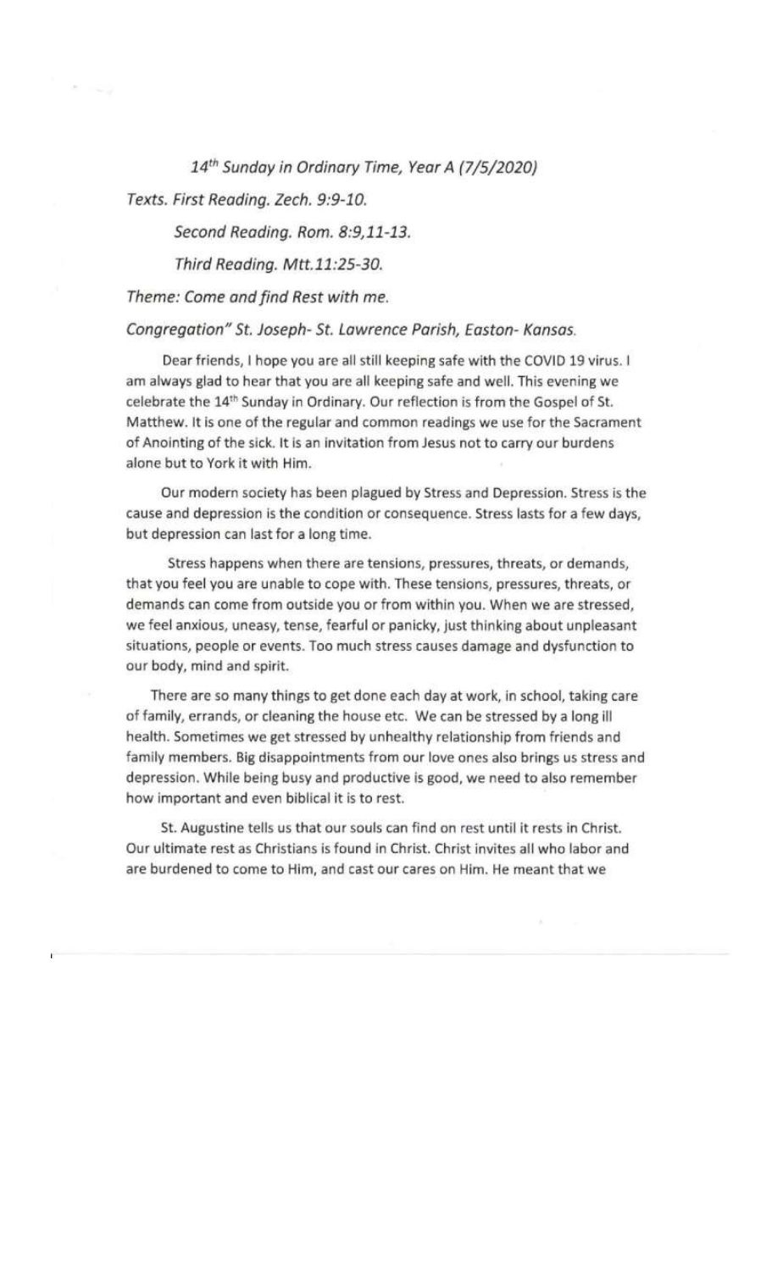14th Sunday in Ordinary Time, Year A (7/5/2020)

Texts. First Reading. Zech. 9:9-10.

Second Reading. Rom. 8:9,11-13.

Third Reading. Mtt.11:25-30.

Theme: Come and find Rest with me.

### Congregation" St. Joseph- St. Lawrence Parish, Easton- Kansas.

Dear friends, I hope you are all still keeping safe with the COVID 19 virus. I am always glad to hear that you are all keeping safe and well. This evening we celebrate the 14<sup>th</sup> Sunday in Ordinary. Our reflection is from the Gospel of St. Matthew. It is one of the regular and common readings we use for the Sacrament of Anointing of the sick. It is an invitation from Jesus not to carry our burdens alone but to York it with Him.

Our modern society has been plagued by Stress and Depression. Stress is the cause and depression is the condition or consequence. Stress lasts for a few days, but depression can last for a long time.

Stress happens when there are tensions, pressures, threats, or demands, that you feel you are unable to cope with. These tensions, pressures, threats, or demands can come from outside you or from within you. When we are stressed, we feel anxious, uneasy, tense, fearful or panicky, just thinking about unpleasant situations, people or events. Too much stress causes damage and dysfunction to our body, mind and spirit.

There are so many things to get done each day at work, in school, taking care of family, errands, or cleaning the house etc. We can be stressed by a long ill health. Sometimes we get stressed by unhealthy relationship from friends and family members. Big disappointments from our love ones also brings us stress and depression. While being busy and productive is good, we need to also remember how important and even biblical it is to rest.

St. Augustine tells us that our souls can find on rest until it rests in Christ. Our ultimate rest as Christians is found in Christ. Christ invites all who labor and are burdened to come to Him, and cast our cares on Him. He meant that we